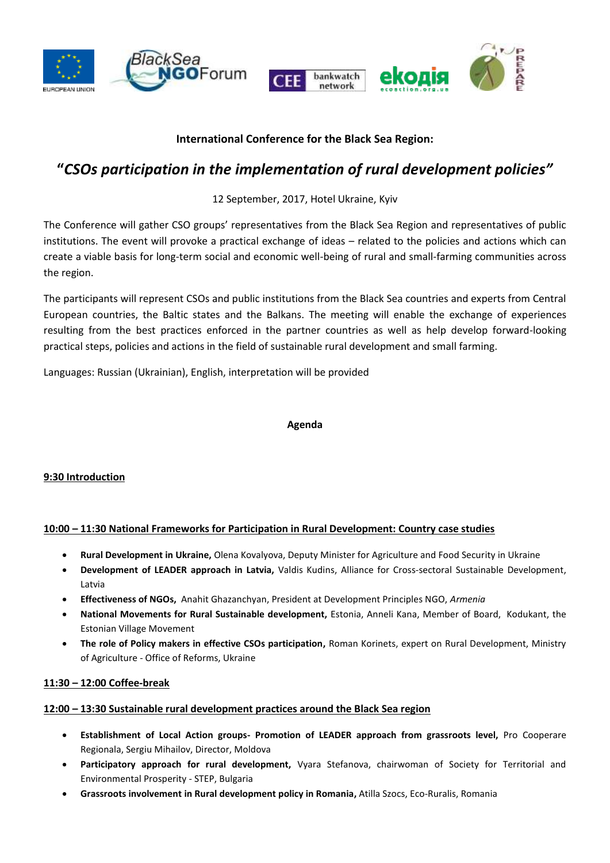

## **International Conference for the Black Sea Region:**

# **"***CSOs participation in the implementation of rural development policies"*

## 12 September, 2017, Hotel Ukraine, Kyiv

The Conference will gather CSO groups' representatives from the Black Sea Region and representatives of public institutions. The event will provoke a practical exchange of ideas – related to the policies and actions which can create a viable basis for long-term social and economic well-being of rural and small-farming communities across the region.

The participants will represent CSOs and public institutions from the Black Sea countries and experts from Central European countries, the Baltic states and the Balkans. The meeting will enable the exchange of experiences resulting from the best practices enforced in the partner countries as well as help develop forward-looking practical steps, policies and actions in the field of sustainable rural development and small farming.

Languages: Russian (Ukrainian), English, interpretation will be provided

#### **Agenda**

#### **9:30 Introduction**

#### **10:00 – 11:30 National Frameworks for Participation in Rural Development: Country case studies**

- **Rural Development in Ukraine,** Olena Kovalyova, Deputy Minister for Agriculture and Food Security in Ukraine
- **Development of LEADER approach in Latvia,** Valdis Kudins, Alliance for Cross-sectoral Sustainable Development, Latvia
- **Effectiveness of NGOs,** Anahit Ghazanchyan, President at Development Principles NGO, *Armenia*
- **National Movements for Rural Sustainable development,** Estonia, Anneli Kana, Member of Board, Kodukant, the Estonian Village Movement
- **The role of Policy makers in effective CSOs participation,** Roman Korinets, expert on Rural Development, Ministry of Agriculture - Office of Reforms, Ukraine

#### **11:30 – 12:00 Coffee-break**

#### **12:00 – 13:30 Sustainable rural development practices around the Black Sea region**

- **Establishment of Local Action groups- Promotion of LEADER approach from grassroots level,** Pro Cooperare Regionala, Sergiu Mihailov, Director, Moldova
- **Participatory approach for rural development,** Vyara Stefanova, chairwoman of Society for Territorial and Environmental Prosperity - STEP, Bulgaria
- **Grassroots involvement in Rural development policy in Romania,** Atilla Szocs, Eco-Ruralis, Romania